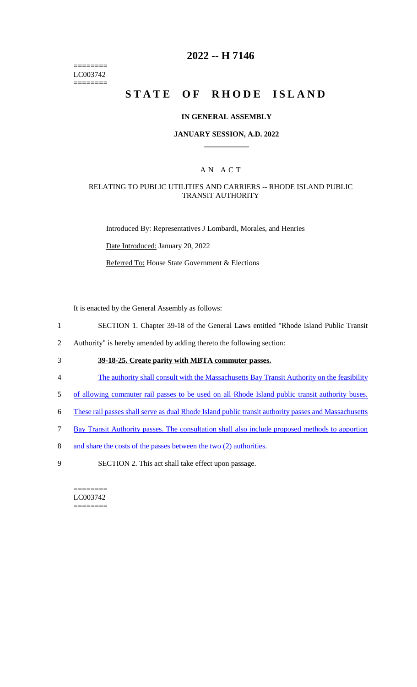======== LC003742 ========

# **2022 -- H 7146**

# **STATE OF RHODE ISLAND**

#### **IN GENERAL ASSEMBLY**

#### **JANUARY SESSION, A.D. 2022 \_\_\_\_\_\_\_\_\_\_\_\_**

### A N A C T

#### RELATING TO PUBLIC UTILITIES AND CARRIERS -- RHODE ISLAND PUBLIC TRANSIT AUTHORITY

Introduced By: Representatives J Lombardi, Morales, and Henries

Date Introduced: January 20, 2022

Referred To: House State Government & Elections

It is enacted by the General Assembly as follows:

- 1 SECTION 1. Chapter 39-18 of the General Laws entitled "Rhode Island Public Transit
- 2 Authority" is hereby amended by adding thereto the following section:
- 3 **39-18-25. Create parity with MBTA commuter passes.**
- 4 The authority shall consult with the Massachusetts Bay Transit Authority on the feasibility
- 5 of allowing commuter rail passes to be used on all Rhode Island public transit authority buses.
- 6 These rail passes shall serve as dual Rhode Island public transit authority passes and Massachusetts
- 7 Bay Transit Authority passes. The consultation shall also include proposed methods to apportion
- 8 and share the costs of the passes between the two (2) authorities.
- 9 SECTION 2. This act shall take effect upon passage.

======== LC003742 ========